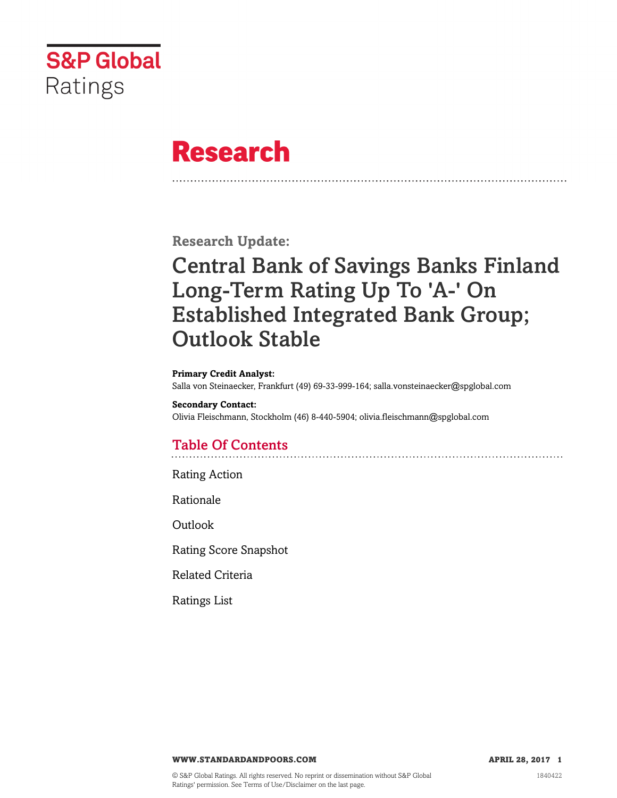

# **Research**

**Research Update:**

# Central Bank of Savings Banks Finland Long-Term Rating Up To 'A-' On Established Integrated Bank Group; Outlook Stable

#### **Primary Credit Analyst:**

Salla von Steinaecker, Frankfurt (49) 69-33-999-164; salla.vonsteinaecker@spglobal.com

## **Secondary Contact:**

Olivia Fleischmann, Stockholm (46) 8-440-5904; olivia.fleischmann@spglobal.com

## Table Of Contents

[Rating Action](#page-1-0)

[Rationale](#page-1-1)

[Outlook](#page-2-0)

[Rating Score Snapshot](#page-3-0)

[Related Criteria](#page-3-1)

[Ratings List](#page-3-2)

**WWW.STANDARDANDPOORS.COM APRIL 28, 2017 1**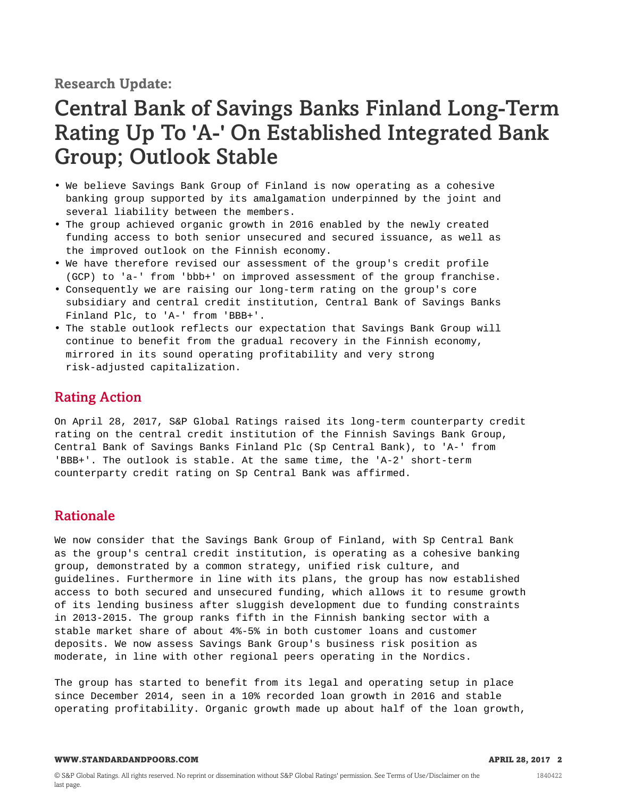## **Research Update:**

## Central Bank of Savings Banks Finland Long-Term Rating Up To 'A-' On Established Integrated Bank Group; Outlook Stable

- We believe Savings Bank Group of Finland is now operating as a cohesive banking group supported by its amalgamation underpinned by the joint and several liability between the members.
- The group achieved organic growth in 2016 enabled by the newly created funding access to both senior unsecured and secured issuance, as well as the improved outlook on the Finnish economy.
- We have therefore revised our assessment of the group's credit profile (GCP) to 'a-' from 'bbb+' on improved assessment of the group franchise.
- Consequently we are raising our long-term rating on the group's core subsidiary and central credit institution, Central Bank of Savings Banks Finland Plc, to 'A-' from 'BBB+'.
- The stable outlook reflects our expectation that Savings Bank Group will continue to benefit from the gradual recovery in the Finnish economy, mirrored in its sound operating profitability and very strong risk-adjusted capitalization.

### <span id="page-1-0"></span>Rating Action

On April 28, 2017, S&P Global Ratings raised its long-term counterparty credit rating on the central credit institution of the Finnish Savings Bank Group, Central Bank of Savings Banks Finland Plc (Sp Central Bank), to 'A-' from 'BBB+'. The outlook is stable. At the same time, the 'A-2' short-term counterparty credit rating on Sp Central Bank was affirmed.

## <span id="page-1-1"></span>Rationale

We now consider that the Savings Bank Group of Finland, with Sp Central Bank as the group's central credit institution, is operating as a cohesive banking group, demonstrated by a common strategy, unified risk culture, and guidelines. Furthermore in line with its plans, the group has now established access to both secured and unsecured funding, which allows it to resume growth of its lending business after sluggish development due to funding constraints in 2013-2015. The group ranks fifth in the Finnish banking sector with a stable market share of about 4%-5% in both customer loans and customer deposits. We now assess Savings Bank Group's business risk position as moderate, in line with other regional peers operating in the Nordics.

The group has started to benefit from its legal and operating setup in place since December 2014, seen in a 10% recorded loan growth in 2016 and stable operating profitability. Organic growth made up about half of the loan growth,

#### **WWW.STANDARDANDPOORS.COM APRIL 28, 2017 2**

1840422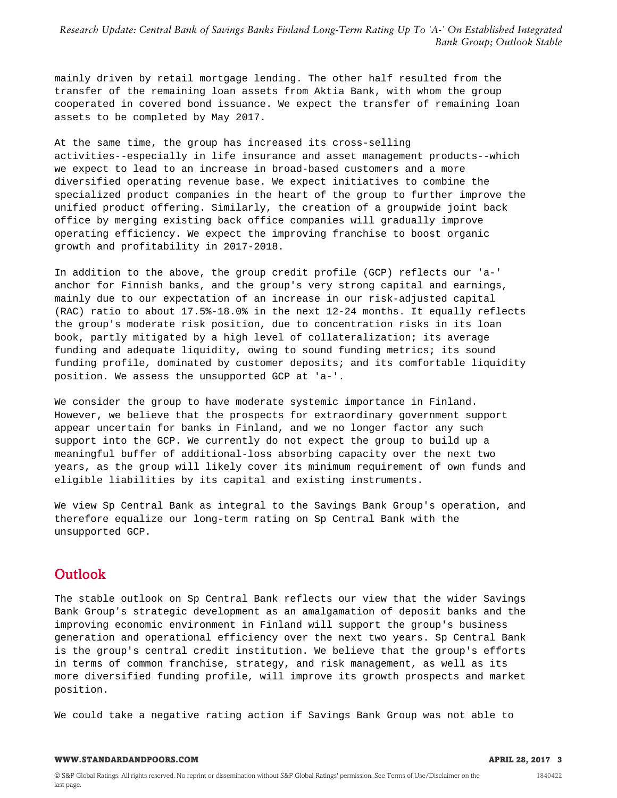*Research Update: Central Bank of Savings Banks Finland Long-Term Rating Up To 'A-' On Established Integrated Bank Group; Outlook Stable*

mainly driven by retail mortgage lending. The other half resulted from the transfer of the remaining loan assets from Aktia Bank, with whom the group cooperated in covered bond issuance. We expect the transfer of remaining loan assets to be completed by May 2017.

At the same time, the group has increased its cross-selling activities--especially in life insurance and asset management products--which we expect to lead to an increase in broad-based customers and a more diversified operating revenue base. We expect initiatives to combine the specialized product companies in the heart of the group to further improve the unified product offering. Similarly, the creation of a groupwide joint back office by merging existing back office companies will gradually improve operating efficiency. We expect the improving franchise to boost organic growth and profitability in 2017-2018.

In addition to the above, the group credit profile (GCP) reflects our 'a-' anchor for Finnish banks, and the group's very strong capital and earnings, mainly due to our expectation of an increase in our risk-adjusted capital (RAC) ratio to about 17.5%-18.0% in the next 12-24 months. It equally reflects the group's moderate risk position, due to concentration risks in its loan book, partly mitigated by a high level of collateralization; its average funding and adequate liquidity, owing to sound funding metrics; its sound funding profile, dominated by customer deposits; and its comfortable liquidity position. We assess the unsupported GCP at 'a-'.

We consider the group to have moderate systemic importance in Finland. However, we believe that the prospects for extraordinary government support appear uncertain for banks in Finland, and we no longer factor any such support into the GCP. We currently do not expect the group to build up a meaningful buffer of additional-loss absorbing capacity over the next two years, as the group will likely cover its minimum requirement of own funds and eligible liabilities by its capital and existing instruments.

We view Sp Central Bank as integral to the Savings Bank Group's operation, and therefore equalize our long-term rating on Sp Central Bank with the unsupported GCP.

### <span id="page-2-0"></span>**Outlook**

The stable outlook on Sp Central Bank reflects our view that the wider Savings Bank Group's strategic development as an amalgamation of deposit banks and the improving economic environment in Finland will support the group's business generation and operational efficiency over the next two years. Sp Central Bank is the group's central credit institution. We believe that the group's efforts in terms of common franchise, strategy, and risk management, as well as its more diversified funding profile, will improve its growth prospects and market position.

We could take a negative rating action if Savings Bank Group was not able to

#### **WWW.STANDARDANDPOORS.COM APRIL 28, 2017 3**

1840422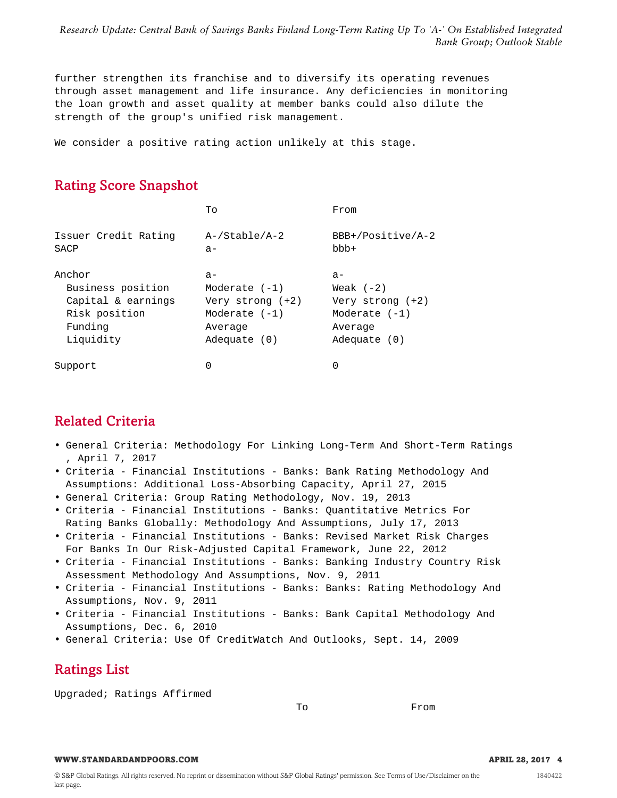*Research Update: Central Bank of Savings Banks Finland Long-Term Rating Up To 'A-' On Established Integrated Bank Group; Outlook Stable*

further strengthen its franchise and to diversify its operating revenues through asset management and life insurance. Any deficiencies in monitoring the loan growth and asset quality at member banks could also dilute the strength of the group's unified risk management.

<span id="page-3-0"></span>We consider a positive rating action unlikely at this stage.

## Rating Score Snapshot

|                      | To               | From                |
|----------------------|------------------|---------------------|
| Issuer Credit Rating | $A$ -/Stable/A-2 | $BBB+/Positive/A-2$ |
| SACP                 | $a-$             | $bbb +$             |
| Anchor               | $a -$            | $a -$               |
| Business position    | Moderate $(-1)$  | Weak $(-2)$         |
| Capital & earnings   | Very strong (+2) | Very strong $(+2)$  |
| Risk position        | Moderate $(-1)$  | Moderate $(-1)$     |
| Funding              | Average          | Average             |
| Liquidity            | Adequate $(0)$   | Adequate (0)        |
| Support              | 0                | O                   |

## <span id="page-3-1"></span>Related Criteria

- General Criteria: Methodology For Linking Long-Term And Short-Term Ratings , April 7, 2017
- Criteria Financial Institutions Banks: Bank Rating Methodology And Assumptions: Additional Loss-Absorbing Capacity, April 27, 2015
- General Criteria: Group Rating Methodology, Nov. 19, 2013
- Criteria Financial Institutions Banks: Quantitative Metrics For Rating Banks Globally: Methodology And Assumptions, July 17, 2013
- Criteria Financial Institutions Banks: Revised Market Risk Charges For Banks In Our Risk-Adjusted Capital Framework, June 22, 2012
- Criteria Financial Institutions Banks: Banking Industry Country Risk Assessment Methodology And Assumptions, Nov. 9, 2011
- Criteria Financial Institutions Banks: Banks: Rating Methodology And Assumptions, Nov. 9, 2011
- Criteria Financial Institutions Banks: Bank Capital Methodology And Assumptions, Dec. 6, 2010
- <span id="page-3-2"></span>• General Criteria: Use Of CreditWatch And Outlooks, Sept. 14, 2009

## Ratings List

Upgraded; Ratings Affirmed

To From

#### **WWW.STANDARDANDPOORS.COM APRIL 28, 2017 4**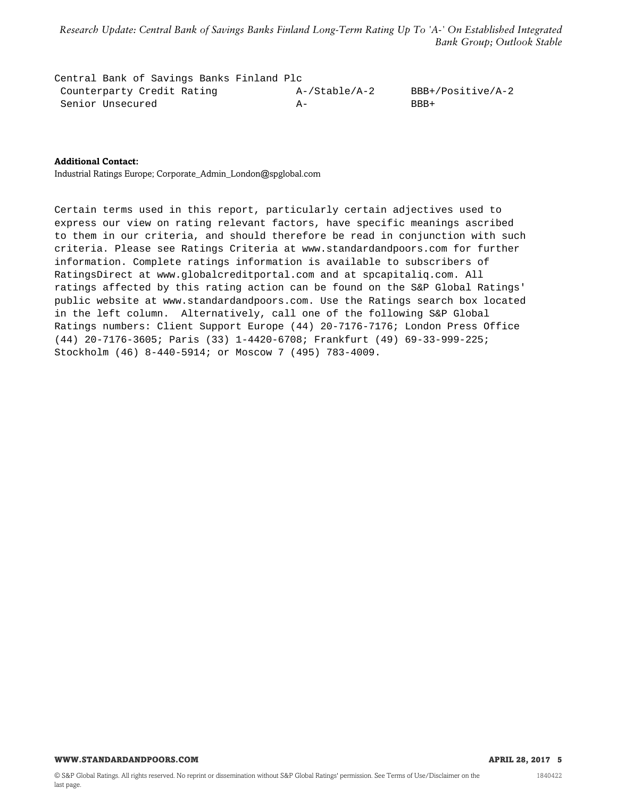*Research Update: Central Bank of Savings Banks Finland Long-Term Rating Up To 'A-' On Established Integrated Bank Group; Outlook Stable*

Central Bank of Savings Banks Finland Plc Counterparty Credit Rating A-/Stable/A-2 BBB+/Positive/A-2 Senior Unsecured A- BBB+

#### **Additional Contact:**

Industrial Ratings Europe; Corporate\_Admin\_London@spglobal.com

Certain terms used in this report, particularly certain adjectives used to express our view on rating relevant factors, have specific meanings ascribed to them in our criteria, and should therefore be read in conjunction with such criteria. Please see Ratings Criteria at www.standardandpoors.com for further information. Complete ratings information is available to subscribers of RatingsDirect at www.globalcreditportal.com and at spcapitaliq.com. All ratings affected by this rating action can be found on the S&P Global Ratings' public website at www.standardandpoors.com. Use the Ratings search box located in the left column. Alternatively, call one of the following S&P Global Ratings numbers: Client Support Europe (44) 20-7176-7176; London Press Office (44) 20-7176-3605; Paris (33) 1-4420-6708; Frankfurt (49) 69-33-999-225; Stockholm (46) 8-440-5914; or Moscow 7 (495) 783-4009.